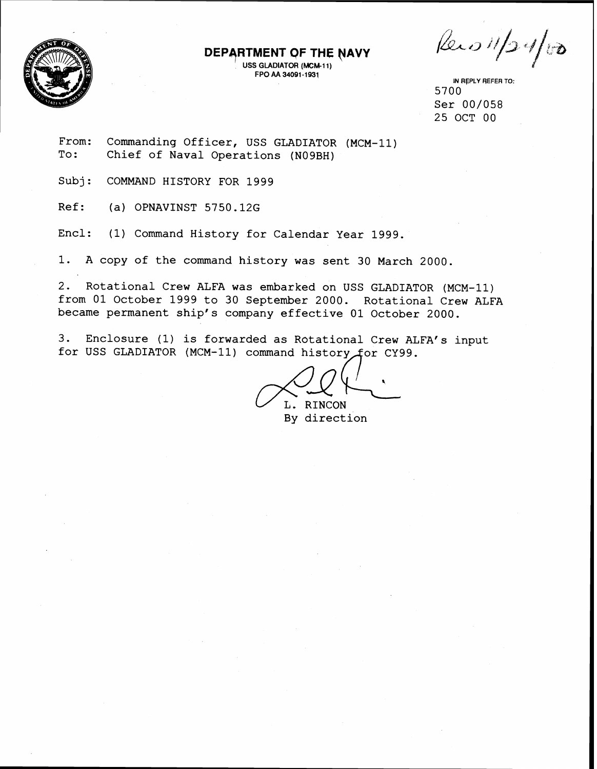

## **DEPARTMENT OF THE NAVY**

USS GLADIATOR (MCM-11) FPO AA 34091-193,

 $\int$ 

IN REPLY REFER TO: 5700 Ser 00/058 25 OCT 00

From: To: Commanding Officer, USS GLADIATOR (MCM-11) Chief of Naval Operations (N09BH)

Subj: COMMAND HISTORY FOR 1999

Ref: (a) OPNAVINST 5750.12G

Encl: (1) Command History for Calendar Year 1999.

1. A copy of the command history was sent 30 March 2000.

2. Rotational Crew ALFA was embarked on USS GLADIATOR (MCM-11) from 01 October 1999 to 30 September 2000. Rotational Crew ALFA became permanent ship's company effective 01 October 2000.

3. Enclosure (1) is forwarded as Rotational Crew ALFA's input for USS GLADIATOR (MCM-11) command history for CY99.

L. RINCON<br>By direction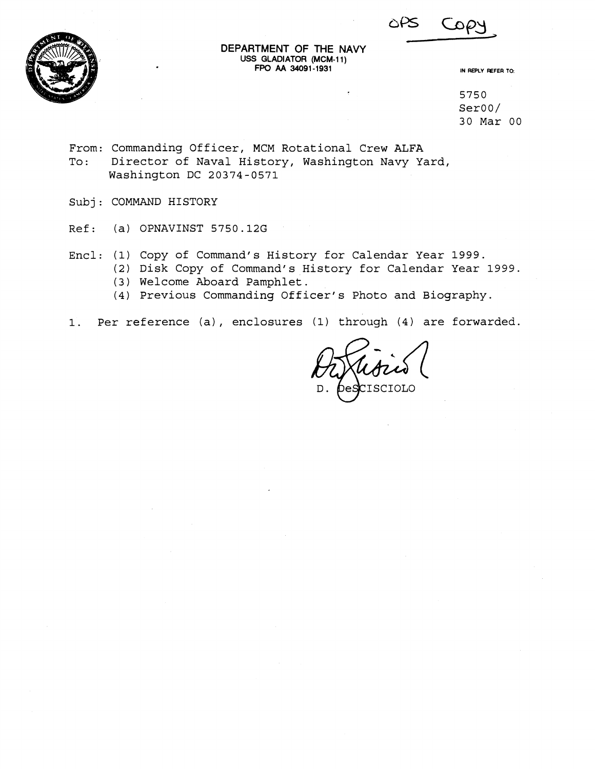



DEPARTMENT OF THE NAVY USS GLADIATOR (MCM-11) FPO AA 34091-1931

IN REPLY FEFER TO:

5750 SerOO/ 30 Mar 00

From: Commanding Officer, MCM Rotational Crew ALFA To: Director of Naval History, Washington Navy Yard, Washington DC 20374-0571

Subj: COMMAND HISTORY

Ref: (a) OPNAVINST 5750.12G

Encl: (1) Copy of Command's History for Calendar Year 1999.

- (2) Disk Copy of Command's History for Calendar Year 1999.
	- (3) Welcome Aboard Pamphlet.
	- (4) Previous Commanding Officer's Photo and Biography.
- 1. Per reference (a), enclosures (1) through (4) are forwarded.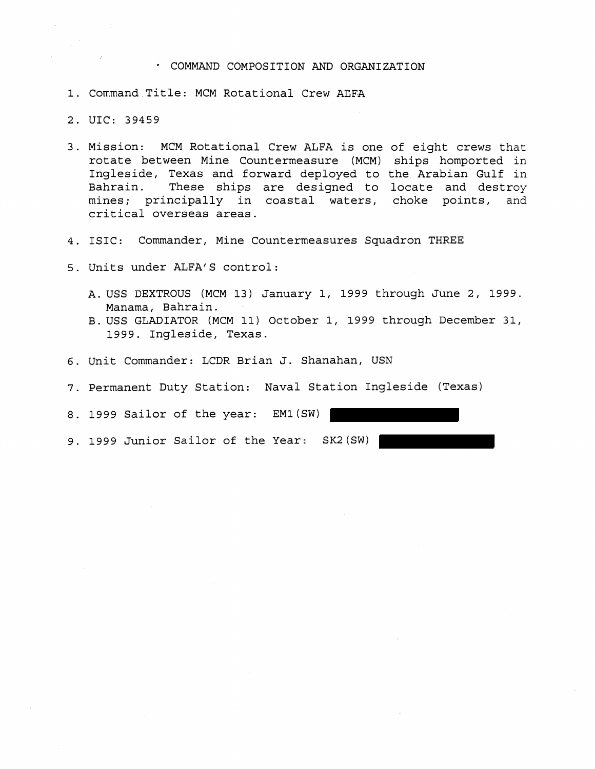# · COMMAND COMPOSITION AND ORGANIZATION

- 1. Command Title: MCM Rotational Crew ALFA
- 2. UIC: 39459
- 3. Mission: MCM Rotational Crew ALFA is one of eight crews that rotate between Mine Countermeasure (MCM) ships homported in Ingleside, Texas and forward deployed to the Arabian Gulf in Bahrain. These ships are designed to locate and destroy mines; principally in coastal waters, choke points, and critical overseas areas.
- 4. ISIC: Commander, Mine Countermeasures Squadron THREE
- 5. Units under ALFA'S control:
	- A. USS DEXTROUS (MCM 13) January 1, 1999 through June 2, 1999. Manama, Bahrain.
	- B. USS GLADIATOR (MCM 11) October 1, 1999 through December 31, 1999. Ingleside, Texas.
- 6. Unit Commander: LCDR Brian J. Shanahan, USN
- 7. Permanent Duty Station: Naval Station Ingleside (Texas)

8. 1999 Sailor of the year: EMl(SW)

9. 1999 Junior Sailor of the Year: SK2(SW)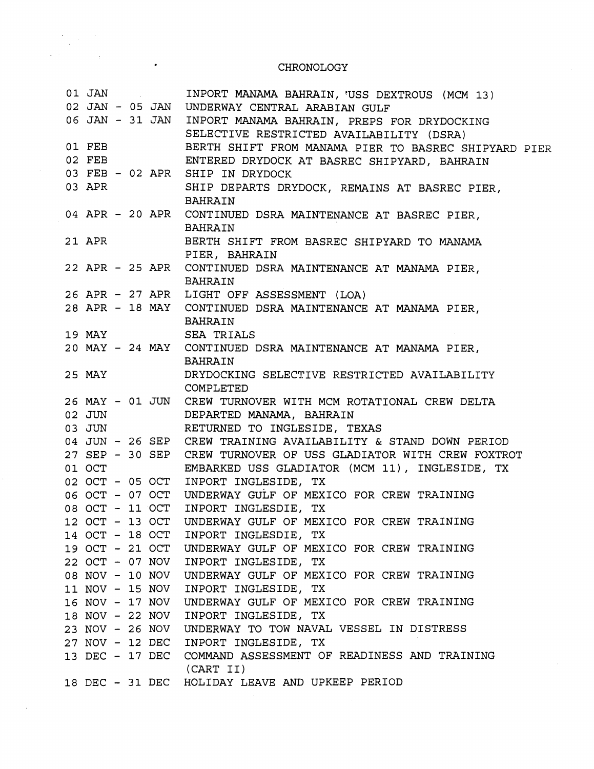# CHRONOLOGY

 $\frac{1}{\sqrt{2}}\frac{1}{\sqrt{2}}\frac{1}{\sqrt{2}}\left(\frac{1}{2}\right)^{\frac{1}{2}}\left(\frac{1}{2}\right)^{\frac{1}{2}}\left(\frac{1}{2}\right)^{\frac{1}{2}}\left(\frac{1}{2}\right)^{\frac{1}{2}}\left(\frac{1}{2}\right)^{\frac{1}{2}}\left(\frac{1}{2}\right)^{\frac{1}{2}}\left(\frac{1}{2}\right)^{\frac{1}{2}}\left(\frac{1}{2}\right)^{\frac{1}{2}}\left(\frac{1}{2}\right)^{\frac{1}{2}}\left(\frac{1}{2}\right)^{\frac{1}{2}}\left(\frac{1}{2}\right$ 

 $\mathcal{L}$ 

 $\mathcal{L}^{\pm}$ 

 $\label{eq:2.1} \frac{1}{2} \int_{0}^{2\pi} \frac{dx}{(x^2+y^2)^2} \, dx$ 

 $\ddot{\phantom{0}}$ 

| 01 JAN |  | $\label{eq:2.1} \frac{1}{\sqrt{2}}\left(\frac{1}{\sqrt{2}}\right)^{2} \left(\frac{1}{\sqrt{2}}\right)^{2} \left(\frac{1}{\sqrt{2}}\right)^{2} \left(\frac{1}{\sqrt{2}}\right)^{2} \left(\frac{1}{\sqrt{2}}\right)^{2} \left(\frac{1}{\sqrt{2}}\right)^{2} \left(\frac{1}{\sqrt{2}}\right)^{2} \left(\frac{1}{\sqrt{2}}\right)^{2} \left(\frac{1}{\sqrt{2}}\right)^{2} \left(\frac{1}{\sqrt{2}}\right)^{2} \left(\frac{1}{\sqrt{2}}\right)^{2} \left(\$ | INPORT MANAMA BAHRAIN, 'USS DEXTROUS (MCM 13)                    |
|--------|--|--------------------------------------------------------------------------------------------------------------------------------------------------------------------------------------------------------------------------------------------------------------------------------------------------------------------------------------------------------------------------------------------------------------------------------------------------------|------------------------------------------------------------------|
|        |  |                                                                                                                                                                                                                                                                                                                                                                                                                                                        | 02 JAN - 05 JAN UNDERWAY CENTRAL ARABIAN GULF                    |
|        |  |                                                                                                                                                                                                                                                                                                                                                                                                                                                        | 06 JAN - 31 JAN INPORT MANAMA BAHRAIN, PREPS FOR DRYDOCKING      |
|        |  |                                                                                                                                                                                                                                                                                                                                                                                                                                                        | SELECTIVE RESTRICTED AVAILABILITY (DSRA)                         |
| 01 FEB |  |                                                                                                                                                                                                                                                                                                                                                                                                                                                        | BERTH SHIFT FROM MANAMA PIER TO BASREC SHIPYARD PIER             |
| 02 FEB |  |                                                                                                                                                                                                                                                                                                                                                                                                                                                        | ENTERED DRYDOCK AT BASREC SHIPYARD, BAHRAIN                      |
|        |  |                                                                                                                                                                                                                                                                                                                                                                                                                                                        | 03 FEB - 02 APR SHIP IN DRYDOCK                                  |
| 03 APR |  |                                                                                                                                                                                                                                                                                                                                                                                                                                                        | SHIP DEPARTS DRYDOCK, REMAINS AT BASREC PIER,                    |
|        |  |                                                                                                                                                                                                                                                                                                                                                                                                                                                        | BAHRAIN                                                          |
|        |  |                                                                                                                                                                                                                                                                                                                                                                                                                                                        | 04 APR - 20 APR CONTINUED DSRA MAINTENANCE AT BASREC PIER,       |
|        |  |                                                                                                                                                                                                                                                                                                                                                                                                                                                        | <b>BAHRAIN</b>                                                   |
|        |  | $21$ APR $\overline{ }$                                                                                                                                                                                                                                                                                                                                                                                                                                | BERTH SHIFT FROM BASREC SHIPYARD TO MANAMA                       |
|        |  |                                                                                                                                                                                                                                                                                                                                                                                                                                                        | PIER, BAHRAIN                                                    |
|        |  |                                                                                                                                                                                                                                                                                                                                                                                                                                                        | 22 APR - 25 APR CONTINUED DSRA MAINTENANCE AT MANAMA PIER,       |
|        |  |                                                                                                                                                                                                                                                                                                                                                                                                                                                        | BAHRAIN                                                          |
|        |  |                                                                                                                                                                                                                                                                                                                                                                                                                                                        | 26 APR - 27 APR LIGHT OFF ASSESSMENT (LOA)                       |
|        |  |                                                                                                                                                                                                                                                                                                                                                                                                                                                        | 28 APR - 18 MAY CONTINUED DSRA MAINTENANCE AT MANAMA PIER,       |
|        |  |                                                                                                                                                                                                                                                                                                                                                                                                                                                        | BAHRAIN                                                          |
|        |  |                                                                                                                                                                                                                                                                                                                                                                                                                                                        | 19 MAY SEA TRIALS                                                |
|        |  |                                                                                                                                                                                                                                                                                                                                                                                                                                                        | 20 MAY - 24 MAY CONTINUED DSRA MAINTENANCE AT MANAMA PIER,       |
|        |  |                                                                                                                                                                                                                                                                                                                                                                                                                                                        | BAHRAIN                                                          |
|        |  | 25 MAY 25                                                                                                                                                                                                                                                                                                                                                                                                                                              | DRYDOCKING SELECTIVE RESTRICTED AVAILABILITY                     |
|        |  |                                                                                                                                                                                                                                                                                                                                                                                                                                                        | COMPLETED                                                        |
|        |  |                                                                                                                                                                                                                                                                                                                                                                                                                                                        | 26 MAY - 01 JUN CREW TURNOVER WITH MCM ROTATIONAL CREW DELTA     |
|        |  | 02 JUN                                                                                                                                                                                                                                                                                                                                                                                                                                                 | DEPARTED MANAMA, BAHRAIN                                         |
| 03 JUN |  |                                                                                                                                                                                                                                                                                                                                                                                                                                                        | RETURNED TO INGLESIDE, TEXAS                                     |
|        |  |                                                                                                                                                                                                                                                                                                                                                                                                                                                        | 04 JUN - 26 SEP CREW TRAINING AVAILABILITY & STAND DOWN PERIOD   |
|        |  |                                                                                                                                                                                                                                                                                                                                                                                                                                                        | 27 SEP - 30 SEP CREW TURNOVER OF USS GLADIATOR WITH CREW FOXTROT |
| 01 OCT |  |                                                                                                                                                                                                                                                                                                                                                                                                                                                        | EMBARKED USS GLADIATOR (MCM 11), INGLESIDE, TX                   |
|        |  |                                                                                                                                                                                                                                                                                                                                                                                                                                                        | 02 OCT - 05 OCT INPORT INGLESIDE, TX                             |
|        |  |                                                                                                                                                                                                                                                                                                                                                                                                                                                        | 06 OCT - 07 OCT UNDERWAY GULF OF MEXICO FOR CREW TRAINING        |
|        |  |                                                                                                                                                                                                                                                                                                                                                                                                                                                        | 08 OCT - 11 OCT INPORT INGLESDIE, TX                             |
|        |  |                                                                                                                                                                                                                                                                                                                                                                                                                                                        | 12 OCT - 13 OCT UNDERWAY GULF OF MEXICO FOR CREW TRAINING        |
|        |  |                                                                                                                                                                                                                                                                                                                                                                                                                                                        | 14 OCT - 18 OCT INPORT INGLESDIE, TX                             |
|        |  |                                                                                                                                                                                                                                                                                                                                                                                                                                                        | 19 OCT - 21 OCT UNDERWAY GULF OF MEXICO FOR CREW TRAINING        |
|        |  |                                                                                                                                                                                                                                                                                                                                                                                                                                                        | 22 OCT - 07 NOV INPORT INGLESIDE, TX                             |
|        |  |                                                                                                                                                                                                                                                                                                                                                                                                                                                        | 08 NOV - 10 NOV UNDERWAY GULF OF MEXICO FOR CREW TRAINING        |
|        |  |                                                                                                                                                                                                                                                                                                                                                                                                                                                        | 11 NOV - 15 NOV INPORT INGLESIDE, TX                             |
|        |  |                                                                                                                                                                                                                                                                                                                                                                                                                                                        | 16 NOV - 17 NOV UNDERWAY GULF OF MEXICO FOR CREW TRAINING        |
|        |  |                                                                                                                                                                                                                                                                                                                                                                                                                                                        | 18 NOV - 22 NOV INPORT INGLESIDE, TX                             |
|        |  |                                                                                                                                                                                                                                                                                                                                                                                                                                                        | 23 NOV - 26 NOV UNDERWAY TO TOW NAVAL VESSEL IN DISTRESS         |
|        |  |                                                                                                                                                                                                                                                                                                                                                                                                                                                        | 27 NOV - 12 DEC INPORT INGLESIDE, TX                             |
|        |  |                                                                                                                                                                                                                                                                                                                                                                                                                                                        | 13 DEC - 17 DEC COMMAND ASSESSMENT OF READINESS AND TRAINING     |
|        |  |                                                                                                                                                                                                                                                                                                                                                                                                                                                        | (CART II)                                                        |
|        |  |                                                                                                                                                                                                                                                                                                                                                                                                                                                        | 18 DEC - 31 DEC HOLIDAY LEAVE AND UPKEEP PERIOD                  |

 $\sim 10^7$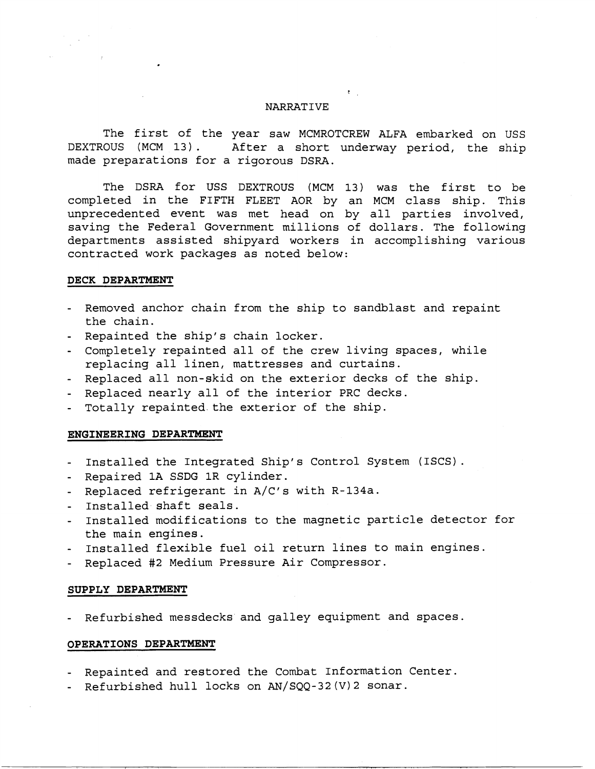### NARRATIVE

 $\mathfrak{k}_{\mathbb{Z}_{2}}$  .

The first of the year saw MCMROTCREW ALFA embarked on USS<br>DEXTROUS (MCM 13). After a short underway period. the ship After a short underway period, the ship made preparations for a rigorous DSRA.

The DSRA for USS DEXTROUS (MCM 13) was the first to be completed in the FIFTH FLEET AOR by an MCM class ship. This unprecedented event was met head on by all parties involved, saving the Federal Government millions of dollars. The following departments assisted shipyard workers in accomplishing various contracted work packages as noted below:

#### **DECK DEPARTMENT**

- Removed anchor chain from the ship to sandblast and repaint the chain.
- Repainted the ship's chain locker.
- Completely repainted all of the crew living spaces, while replacing all linen, mattresses and curtains.
- Replaced all non-skid on the exterior decks of the ship.
- Replaced nearly all of the interior PRC decks.
- Totally repainted.the exterior of the ship.

#### **ENGINEERING DEPARTMENT**

- Installed the Integrated Ship's Control System (ISCS).
- Repaired 1A SSDG 1R cylinder.
- Replaced refrigerant in A/C's with R-134a.
- Installed shaft seals.
- Installed modifications to the magnetic particle detector for the main engines.
- Installed flexible fuel oil return lines to main engines.
- Replaced #2 Medium Pressure Air Compressor.

#### **SUPPLY DEPARTMENT**

- Refurbished messdecks and galley equipment and spaces.

## **OPERATIONS DEPARTMENT**

- Repainted and restored the Combat Information Center.
- Refurbished hull locks on AN/SQQ-32(V)2 sonar.